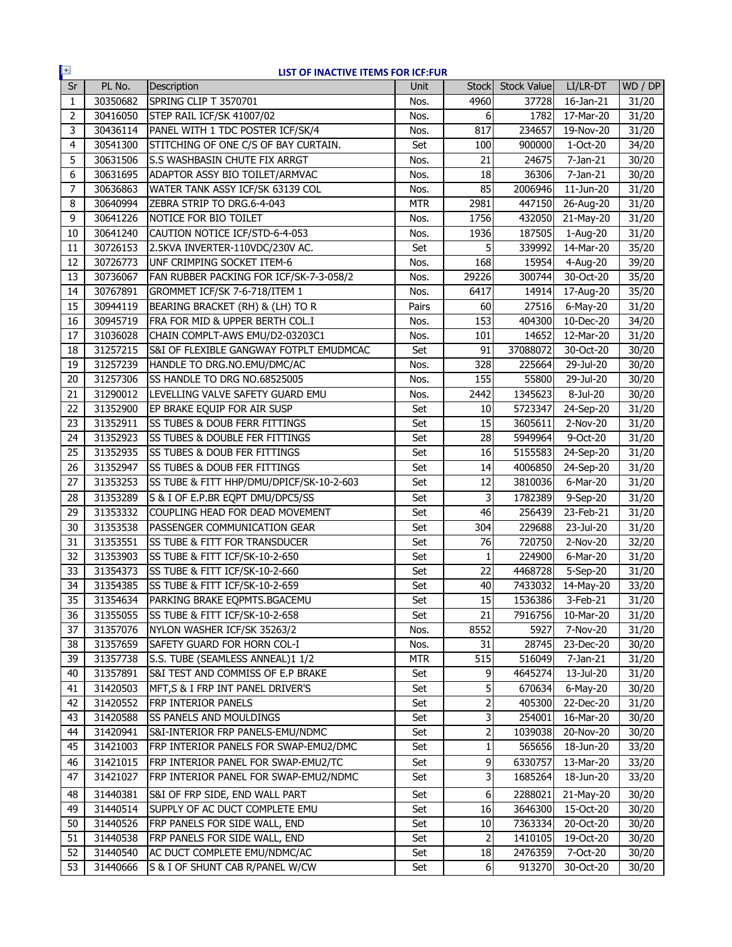| $+$<br>LIST OF INACTIVE ITEMS FOR ICF:FUR |          |                                          |            |                |                    |                         |         |
|-------------------------------------------|----------|------------------------------------------|------------|----------------|--------------------|-------------------------|---------|
| Sr                                        | PL No.   | Description                              | Unit       | <b>Stock</b>   | <b>Stock Value</b> | LI/LR-DT                | WD / DP |
| $\mathbf{1}$                              | 30350682 | SPRING CLIP T 3570701                    | Nos.       | 4960           | 37728              | 16-Jan-21               | 31/20   |
| $\overline{2}$                            | 30416050 | STEP RAIL ICF/SK 41007/02                | Nos.       | 6              | 1782               | $\overline{1}$ 7-Mar-20 | 31/20   |
| 3                                         | 30436114 | PANEL WITH 1 TDC POSTER ICF/SK/4         | Nos.       | 817            | 234657             | 19-Nov-20               | 31/20   |
| $\overline{4}$                            | 30541300 | STITCHING OF ONE C/S OF BAY CURTAIN.     | Set        | 100            | 900000             | 1-Oct-20                | 34/20   |
| 5                                         | 30631506 | S.S WASHBASIN CHUTE FIX ARRGT            | Nos.       | 21             | 24675              | 7-Jan-21                | 30/20   |
| 6                                         | 30631695 | ADAPTOR ASSY BIO TOILET/ARMVAC           | Nos.       | 18             | 36306              | 7-Jan-21                | 30/20   |
| $\overline{7}$                            | 30636863 | WATER TANK ASSY ICF/SK 63139 COL         | Nos.       | 85             | 2006946            | $\overline{1}$ 1-Jun-20 | 31/20   |
| 8                                         | 30640994 | ZEBRA STRIP TO DRG.6-4-043               | <b>MTR</b> | 2981           | 447150             | 26-Aug-20               | 31/20   |
| 9                                         | 30641226 | NOTICE FOR BIO TOILET                    | Nos.       | 1756           | 432050             | 21-May-20               | 31/20   |
| 10                                        | 30641240 | CAUTION NOTICE ICF/STD-6-4-053           | Nos.       | 1936           | 187505             | 1-Aug-20                | 31/20   |
| 11                                        | 30726153 | 2.5KVA INVERTER-110VDC/230V AC.          | Set        | 5              | 339992             | 14-Mar-20               | 35/20   |
| 12                                        | 30726773 | UNF CRIMPING SOCKET ITEM-6               | Nos.       | 168            | 15954              | 4-Aug-20                | 39/20   |
| 13                                        | 30736067 | FAN RUBBER PACKING FOR ICF/SK-7-3-058/2  | Nos.       | 29226          | 300744             | 30-Oct-20               | 35/20   |
| 14                                        | 30767891 | GROMMET ICF/SK 7-6-718/ITEM 1            | Nos.       | 6417           | 14914              | 17-Aug-20               | 35/20   |
| 15                                        | 30944119 | BEARING BRACKET (RH) & (LH) TO R         | Pairs      | 60             | 27516              | 6-May-20                | 31/20   |
| 16                                        | 30945719 | FRA FOR MID & UPPER BERTH COL.I          | Nos.       | 153            | 404300             | 10-Dec-20               | 34/20   |
| 17                                        | 31036028 | CHAIN COMPLT-AWS EMU/D2-03203C1          | Nos.       | 101            | 14652              | 12-Mar-20               | 31/20   |
| 18                                        | 31257215 | S&I OF FLEXIBLE GANGWAY FOTPLT EMUDMCAC  | Set        | 91             | 37088072           | 30-Oct-20               | 30/20   |
| 19                                        | 31257239 | HANDLE TO DRG.NO.EMU/DMC/AC              | Nos.       | 328            | 225664             | 29-Jul-20               | 30/20   |
| 20                                        | 31257306 | SS HANDLE TO DRG NO.68525005             | Nos.       | 155            | 55800              | 29-Jul-20               | 30/20   |
| 21                                        | 31290012 | LEVELLING VALVE SAFETY GUARD EMU         | Nos.       | 2442           | 1345623            | 8-Jul-20                | 30/20   |
| 22                                        | 31352900 | EP BRAKE EQUIP FOR AIR SUSP              | Set        | 10             | 5723347            | $24-Sep-20$             | 31/20   |
| 23                                        | 31352911 | <b>SS TUBES &amp; DOUB FERR FITTINGS</b> | Set        | 15             | 3605611            | 2-Nov-20                | 31/20   |
| 24                                        | 31352923 | SS TUBES & DOUBLE FER FITTINGS           | Set        | 28             | 5949964            | 9-Oct-20                | 31/20   |
| 25                                        | 31352935 | SS TUBES & DOUB FER FITTINGS             | Set        | 16             | 5155583            | $\overline{2}$ 4-Sep-20 | 31/20   |
| 26                                        | 31352947 | SS TUBES & DOUB FER FITTINGS             | Set        | 14             | 4006850            | 24-Sep-20               | 31/20   |
| 27                                        | 31353253 | SS TUBE & FITT HHP/DMU/DPICF/SK-10-2-603 | Set        | 12             | 3810036            | $6$ -Mar-20             | 31/20   |
| 28                                        | 31353289 | S & I OF E.P.BR EQPT DMU/DPC5/SS         | Set        | 3              | 1782389            | 9-Sep-20                | 31/20   |
| 29                                        | 31353332 | COUPLING HEAD FOR DEAD MOVEMENT          | Set        | 46             | 256439             | 23-Feb-21               | 31/20   |
| 30                                        | 31353538 | PASSENGER COMMUNICATION GEAR             | Set        | 304            | 229688             | 23-Jul-20               | 31/20   |
| 31                                        | 31353551 | <b>SS TUBE &amp; FITT FOR TRANSDUCER</b> | Set        | 76             | 720750             | 2-Nov-20                | 32/20   |
| 32                                        | 31353903 | SS TUBE & FITT ICF/SK-10-2-650           | Set        | 1              | 224900             | 6-Mar-20                | 31/20   |
| 33                                        | 31354373 | SS TUBE & FITT ICF/SK-10-2-660           | Set        | 22             | 4468728            | 5-Sep-20                | 31/20   |
| 34                                        | 31354385 | SS TUBE & FITT ICF/SK-10-2-659           | Set        | 40             | 7433032            | 14-May-20               | 33/20   |
| 35                                        | 31354634 | PARKING BRAKE EQPMTS.BGACEMU             | Set        | 15             | 1536386            | 3-Feb-21                | 31/20   |
| 36                                        | 31355055 | SS TUBE & FITT ICF/SK-10-2-658           | Set        | 21             | 7916756            | 10-Mar-20               | 31/20   |
| 37                                        | 31357076 | NYLON WASHER ICF/SK 35263/2              | Nos.       | 8552           | 5927               | 7-Nov-20                | 31/20   |
| 38                                        | 31357659 | SAFETY GUARD FOR HORN COL-I              | Nos.       | 31             | 28745              | 23-Dec-20               | 30/20   |
| 39                                        | 31357738 | S.S. TUBE (SEAMLESS ANNEAL)1 1/2         | <b>MTR</b> | 515            | 516049             | 7-Jan-21                | 31/20   |
| 40                                        | 31357891 | S&I TEST AND COMMISS OF E.P BRAKE        | Set        | 9              | 4645274            | 13-Jul-20               | 31/20   |
| 41                                        | 31420503 | MFT, S & I FRP INT PANEL DRIVER'S        | Set        | 5              | 670634             | 6-May-20                | 30/20   |
| 42                                        | 31420552 | FRP INTERIOR PANELS                      | Set        | $\overline{2}$ | 405300             | 22-Dec-20               | 31/20   |
| 43                                        | 31420588 | <b>SS PANELS AND MOULDINGS</b>           | Set        | 3              | 254001             | 16-Mar-20               | 30/20   |
| 44                                        | 31420941 | S&I-INTERIOR FRP PANELS-EMU/NDMC         | Set        | $\overline{2}$ | 1039038            | 20-Nov-20               | 30/20   |
| 45                                        | 31421003 | FRP INTERIOR PANELS FOR SWAP-EMU2/DMC    | Set        | $\mathbf{1}$   | 565656             | 18-Jun-20               | 33/20   |
| 46                                        | 31421015 | FRP INTERIOR PANEL FOR SWAP-EMU2/TC      | Set        | $\overline{9}$ | 6330757            | 13-Mar-20               | 33/20   |
| 47                                        | 31421027 | FRP INTERIOR PANEL FOR SWAP-EMU2/NDMC    | Set        | 3              | 1685264            | 18-Jun-20               | 33/20   |
| 48                                        | 31440381 | S&I OF FRP SIDE, END WALL PART           | Set        | 6              | 2288021            | 21-May-20               | 30/20   |
| 49                                        | 31440514 | SUPPLY OF AC DUCT COMPLETE EMU           | Set        | 16             | 3646300            | 15-Oct-20               | 30/20   |
| 50                                        | 31440526 | FRP PANELS FOR SIDE WALL, END            | Set        | $10\,$         | 7363334            | 20-Oct-20               | 30/20   |
| 51                                        | 31440538 | FRP PANELS FOR SIDE WALL, END            | Set        | 2              | 1410105            | 19-Oct-20               | 30/20   |
| 52                                        | 31440540 | AC DUCT COMPLETE EMU/NDMC/AC             | Set        | 18             | 2476359            | 7-Oct-20                | 30/20   |
| 53                                        | 31440666 | S & I OF SHUNT CAB R/PANEL W/CW          | Set        | 6              | 913270             | 30-Oct-20               | 30/20   |
|                                           |          |                                          |            |                |                    |                         |         |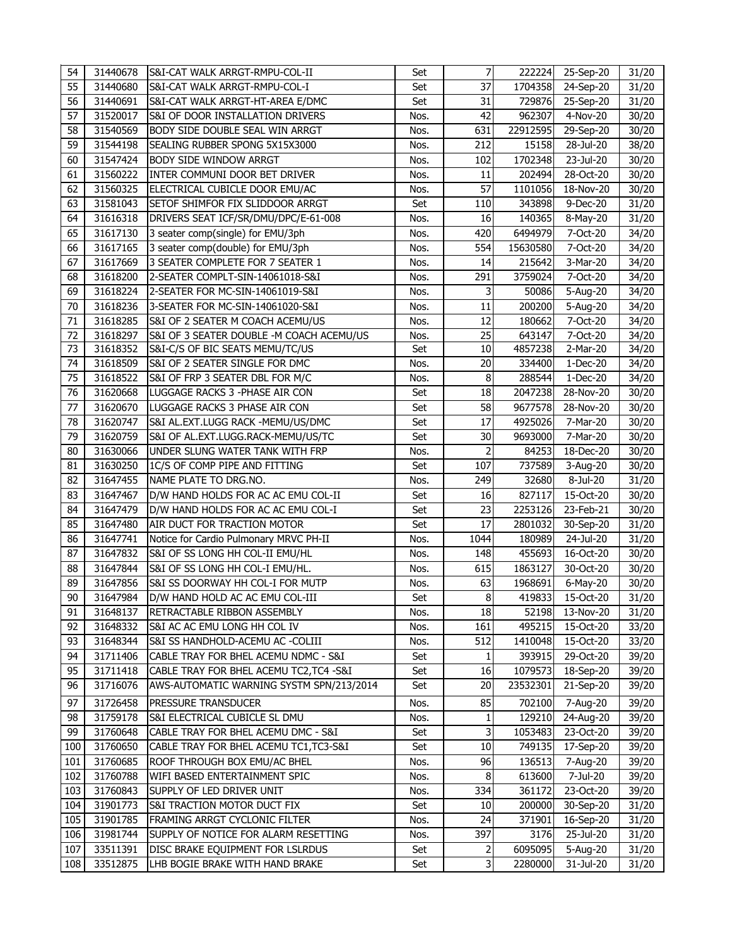| 54  | 31440678 | S&I-CAT WALK ARRGT-RMPU-COL-II           | Set  | 7               | 222224   | 25-Sep-20                  | 31/20 |
|-----|----------|------------------------------------------|------|-----------------|----------|----------------------------|-------|
| 55  | 31440680 | S&I-CAT WALK ARRGT-RMPU-COL-I            | Set  | $\overline{37}$ | 1704358  | 24-Sep-20                  | 31/20 |
| 56  | 31440691 | S&I-CAT WALK ARRGT-HT-AREA E/DMC         | Set  | 31              | 729876   | 25-Sep-20                  | 31/20 |
| 57  | 31520017 | S&I OF DOOR INSTALLATION DRIVERS         | Nos. | 42              | 962307   | $\overline{4}$ -Nov-20     | 30/20 |
| 58  | 31540569 | <b>BODY SIDE DOUBLE SEAL WIN ARRGT</b>   | Nos. | 631             | 22912595 | 29-Sep-20                  | 30/20 |
| 59  | 31544198 | SEALING RUBBER SPONG 5X15X3000           | Nos. | 212             | 15158    | 28-Jul-20                  | 38/20 |
| 60  | 31547424 | <b>BODY SIDE WINDOW ARRGT</b>            | Nos. | 102             | 1702348  | 23-Jul-20                  | 30/20 |
| 61  | 31560222 | INTER COMMUNI DOOR BET DRIVER            | Nos. | 11              | 202494   | 28-Oct-20                  | 30/20 |
| 62  | 31560325 | ELECTRICAL CUBICLE DOOR EMU/AC           | Nos. | 57              | 1101056  | 18-Nov-20                  | 30/20 |
| 63  | 31581043 | SETOF SHIMFOR FIX SLIDDOOR ARRGT         | Set  | 110             | 343898   | 9-Dec-20                   | 31/20 |
| 64  | 31616318 | DRIVERS SEAT ICF/SR/DMU/DPC/E-61-008     | Nos. | 16              | 140365   | 8-May-20                   | 31/20 |
| 65  | 31617130 | 3 seater comp(single) for EMU/3ph        | Nos. | 420             | 6494979  | 7-Oct-20                   | 34/20 |
| 66  | 31617165 | 3 seater comp(double) for EMU/3ph        | Nos. | 554             | 15630580 | 7-Oct-20                   | 34/20 |
| 67  | 31617669 | 3 SEATER COMPLETE FOR 7 SEATER 1         | Nos. | 14              | 215642   | 3-Mar-20                   | 34/20 |
| 68  | 31618200 | 2-SEATER COMPLT-SIN-14061018-S&I         | Nos. | 291             | 3759024  | 7-Oct-20                   | 34/20 |
| 69  | 31618224 | 2-SEATER FOR MC-SIN-14061019-S&I         | Nos. | 3               | 50086    | 5-Aug-20                   | 34/20 |
| 70  | 31618236 | 3-SEATER FOR MC-SIN-14061020-S&I         | Nos. | 11              | 200200   | 5-Aug-20                   | 34/20 |
| 71  | 31618285 | S&I OF 2 SEATER M COACH ACEMU/US         | Nos. | 12              | 180662   | 7-Oct-20                   | 34/20 |
| 72  | 31618297 | S&I OF 3 SEATER DOUBLE -M COACH ACEMU/US | Nos. | 25              | 643147   | 7-Oct-20                   | 34/20 |
| 73  | 31618352 | S&I-C/S OF BIC SEATS MEMU/TC/US          | Set  | 10              | 4857238  | 2-Mar-20                   | 34/20 |
| 74  | 31618509 | S&I OF 2 SEATER SINGLE FOR DMC           | Nos. | 20              | 334400   | 1-Dec-20                   | 34/20 |
| 75  | 31618522 | S&I OF FRP 3 SEATER DBL FOR M/C          | Nos. | 8               | 288544   | 1-Dec-20                   | 34/20 |
| 76  | 31620668 | LUGGAGE RACKS 3 - PHASE AIR CON          | Set  | 18              | 2047238  | 28-Nov-20                  | 30/20 |
| 77  | 31620670 | LUGGAGE RACKS 3 PHASE AIR CON            | Set  | 58              | 9677578  | 28-Nov-20                  | 30/20 |
| 78  | 31620747 | S&I AL.EXT.LUGG RACK -MEMU/US/DMC        | Set  | 17              | 4925026  | 7-Mar-20                   | 30/20 |
| 79  | 31620759 | S&I OF AL.EXT.LUGG.RACK-MEMU/US/TC       | Set  | 30              | 9693000  | 7-Mar-20                   | 30/20 |
| 80  | 31630066 | UNDER SLUNG WATER TANK WITH FRP          | Nos. | $\overline{2}$  | 84253    | 18-Dec-20                  | 30/20 |
| 81  | 31630250 | 1C/S OF COMP PIPE AND FITTING            | Set  | 107             | 737589   | 3-Aug-20                   | 30/20 |
| 82  | 31647455 | NAME PLATE TO DRG.NO.                    | Nos. | 249             | 32680    | 8-Jul-20                   | 31/20 |
| 83  | 31647467 | D/W HAND HOLDS FOR AC AC EMU COL-II      | Set  | 16              | 827117   | 15-Oct-20                  | 30/20 |
| 84  | 31647479 | D/W HAND HOLDS FOR AC AC EMU COL-I       | Set  | 23              | 2253126  | 23-Feb-21                  | 30/20 |
| 85  | 31647480 | AIR DUCT FOR TRACTION MOTOR              | Set  | 17              | 2801032  | 30-Sep-20                  | 31/20 |
| 86  | 31647741 | Notice for Cardio Pulmonary MRVC PH-II   | Nos. | 1044            | 180989   | 24-Jul-20                  | 31/20 |
| 87  | 31647832 | S&I OF SS LONG HH COL-II EMU/HL          | Nos. | 148             | 455693   | 16-Oct-20                  | 30/20 |
| 88  | 31647844 | S&I OF SS LONG HH COL-I EMU/HL.          | Nos. | 615             | 1863127  | 30-Oct-20                  | 30/20 |
| 89  | 31647856 | S&I SS DOORWAY HH COL-I FOR MUTP         | Nos. | 63              | 1968691  | 6-May-20                   | 30/20 |
| 90  | 31647984 | D/W HAND HOLD AC AC EMU COL-III          | Set  | 8               |          | 419833 15-Oct-20           | 31/20 |
| 91  | 31648137 | RETRACTABLE RIBBON ASSEMBLY              | Nos. | 18              | 52198    | 13-Nov-20                  | 31/20 |
| 92  | 31648332 | S&I AC AC EMU LONG HH COL IV             | Nos. | 161             | 495215   | 15-Oct-20                  | 33/20 |
| 93  | 31648344 | S&I SS HANDHOLD-ACEMU AC -COLIII         | Nos. | 512             | 1410048  | 15-Oct-20                  | 33/20 |
| 94  | 31711406 | CABLE TRAY FOR BHEL ACEMU NDMC - S&I     | Set  | 1               | 393915   | 29-Oct-20                  | 39/20 |
| 95  | 31711418 | CABLE TRAY FOR BHEL ACEMU TC2, TC4 -S&I  | Set  | 16              | 1079573  | 18-Sep-20                  | 39/20 |
| 96  | 31716076 | AWS-AUTOMATIC WARNING SYSTM SPN/213/2014 | Set  | 20              | 23532301 | 21-Sep-20                  | 39/20 |
|     |          |                                          |      |                 |          |                            |       |
| 97  | 31726458 | <b>PRESSURE TRANSDUCER</b>               | Nos. | 85              | 702100   | 7-Aug-20                   | 39/20 |
| 98  | 31759178 | S&I ELECTRICAL CUBICLE SL DMU            | Nos. | 1               | 129210   | 24-Aug-20                  | 39/20 |
| 99  | 31760648 | CABLE TRAY FOR BHEL ACEMU DMC - S&I      | Set  | 3               | 1053483  | $\overline{2}3 - Oct - 20$ | 39/20 |
| 100 | 31760650 | CABLE TRAY FOR BHEL ACEMU TC1, TC3-S&I   | Set  | 10              | 749135   | 17-Sep-20                  | 39/20 |
| 101 | 31760685 | ROOF THROUGH BOX EMU/AC BHEL             | Nos. | 96              | 136513   | 7-Aug-20                   | 39/20 |
| 102 | 31760788 | WIFI BASED ENTERTAINMENT SPIC            | Nos. | 8               | 613600   | 7-Jul-20                   | 39/20 |
| 103 | 31760843 | SUPPLY OF LED DRIVER UNIT                | Nos. | 334             | 361172   | 23-Oct-20                  | 39/20 |
| 104 | 31901773 | S&I TRACTION MOTOR DUCT FIX              | Set  | 10              | 200000   | 30-Sep-20                  | 31/20 |
| 105 | 31901785 | FRAMING ARRGT CYCLONIC FILTER            | Nos. | 24              | 371901   | 16-Sep-20                  | 31/20 |
| 106 | 31981744 | SUPPLY OF NOTICE FOR ALARM RESETTING     | Nos. | 397             | 3176     | 25-Jul-20                  | 31/20 |
| 107 | 33511391 | DISC BRAKE EQUIPMENT FOR LSLRDUS         | Set  | 2               | 6095095  | 5-Aug-20                   | 31/20 |
| 108 | 33512875 | LHB BOGIE BRAKE WITH HAND BRAKE          | Set  | 3               | 2280000  | 31-Jul-20                  | 31/20 |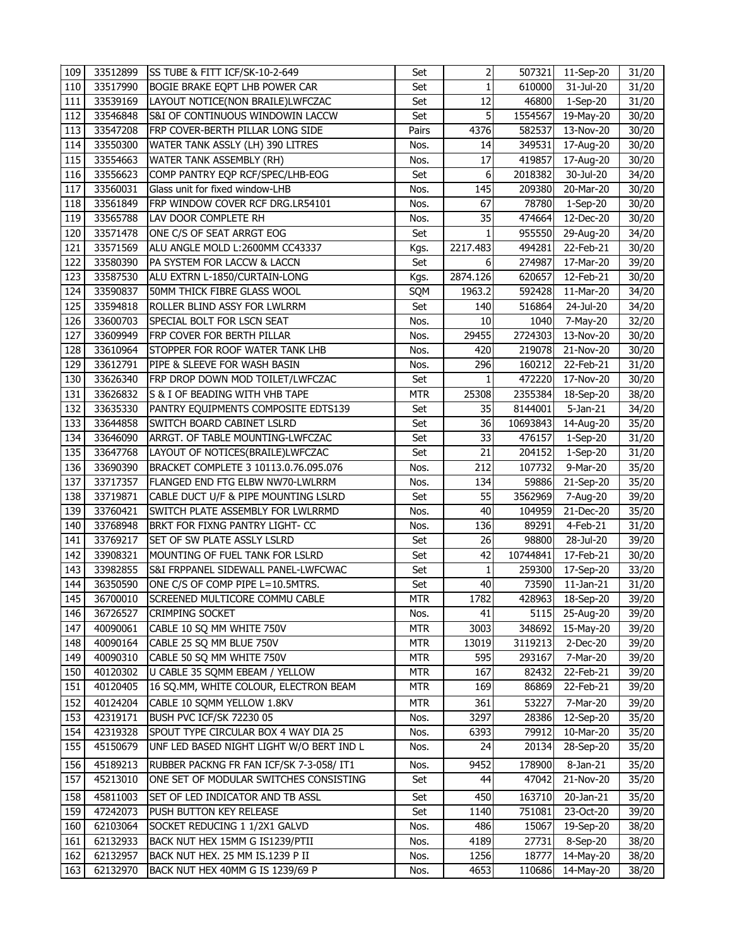| 109 | 33512899 | SS TUBE & FITT ICF/SK-10-2-649           | Set        | 2            | 507321   | 11-Sep-20        | 31/20 |
|-----|----------|------------------------------------------|------------|--------------|----------|------------------|-------|
| 110 | 33517990 | <b>BOGIE BRAKE EQPT LHB POWER CAR</b>    | Set        | $\mathbf{1}$ | 610000   | 31-Jul-20        | 31/20 |
| 111 | 33539169 | LAYOUT NOTICE(NON BRAILE)LWFCZAC         | Set        | 12           | 46800    | 1-Sep-20         | 31/20 |
| 112 | 33546848 | S&I OF CONTINUOUS WINDOWIN LACCW         | Set        | 5            | 1554567  | 19-May-20        | 30/20 |
| 113 | 33547208 | FRP COVER-BERTH PILLAR LONG SIDE         | Pairs      | 4376         | 582537   | 13-Nov-20        | 30/20 |
| 114 | 33550300 | WATER TANK ASSLY (LH) 390 LITRES         | Nos.       | 14           | 349531   | 17-Aug-20        | 30/20 |
| 115 | 33554663 | WATER TANK ASSEMBLY (RH)                 | Nos.       | 17           | 419857   | 17-Aug-20        | 30/20 |
| 116 | 33556623 | COMP PANTRY EQP RCF/SPEC/LHB-EOG         | Set        | 6            | 2018382  | 30-Jul-20        | 34/20 |
| 117 | 33560031 | Glass unit for fixed window-LHB          | Nos.       | 145          | 209380   | 20-Mar-20        | 30/20 |
| 118 | 33561849 | FRP WINDOW COVER RCF DRG.LR54101         | Nos.       | 67           | 78780    | $1-Sep-20$       | 30/20 |
| 119 | 33565788 | LAV DOOR COMPLETE RH                     | Nos.       | 35           | 474664   | 12-Dec-20        | 30/20 |
| 120 | 33571478 | ONE C/S OF SEAT ARRGT EOG                | Set        | 1            | 955550   | 29-Aug-20        | 34/20 |
| 121 | 33571569 | ALU ANGLE MOLD L:2600MM CC43337          | Kgs.       | 2217.483     | 494281   | $22$ -Feb-21     | 30/20 |
| 122 | 33580390 | PA SYSTEM FOR LACCW & LACCN              | Set        | 6            | 274987   | 17-Mar-20        | 39/20 |
| 123 | 33587530 | ALU EXTRN L-1850/CURTAIN-LONG            | Kgs.       | 2874.126     | 620657   | 12-Feb-21        | 30/20 |
| 124 | 33590837 | <b>50MM THICK FIBRE GLASS WOOL</b>       | SQM        | 1963.2       | 592428   | 11-Mar-20        | 34/20 |
| 125 | 33594818 | ROLLER BLIND ASSY FOR LWLRRM             | Set        | 140          | 516864   | 24-Jul-20        | 34/20 |
| 126 | 33600703 | SPECIAL BOLT FOR LSCN SEAT               | Nos.       | 10           | 1040     | 7-May-20         | 32/20 |
| 127 | 33609949 | FRP COVER FOR BERTH PILLAR               | Nos.       | 29455        | 2724303  | 13-Nov-20        | 30/20 |
| 128 | 33610964 | STOPPER FOR ROOF WATER TANK LHB          | Nos.       | 420          | 219078   | 21-Nov-20        | 30/20 |
| 129 | 33612791 | PIPE & SLEEVE FOR WASH BASIN             | Nos.       | 296          | 160212   | 22-Feb-21        | 31/20 |
| 130 | 33626340 | FRP DROP DOWN MOD TOILET/LWFCZAC         | Set        | $\mathbf{1}$ | 472220   | 17-Nov-20        | 30/20 |
| 131 | 33626832 | S & I OF BEADING WITH VHB TAPE           | <b>MTR</b> | 25308        | 2355384  | 18-Sep-20        | 38/20 |
| 132 | 33635330 | PANTRY EQUIPMENTS COMPOSITE EDTS139      | Set        | 35           | 8144001  | $5-$ Jan $-21$   | 34/20 |
| 133 | 33644858 | SWITCH BOARD CABINET LSLRD               | Set        | 36           | 10693843 | 14-Aug-20        | 35/20 |
| 134 | 33646090 | ARRGT. OF TABLE MOUNTING-LWFCZAC         | Set        | 33           | 476157   | 1-Sep-20         | 31/20 |
| 135 | 33647768 | LAYOUT OF NOTICES(BRAILE)LWFCZAC         | Set        | 21           | 204152   | 1-Sep-20         | 31/20 |
| 136 | 33690390 | BRACKET COMPLETE 3 10113.0.76.095.076    | Nos.       | 212          | 107732   | 9-Mar-20         | 35/20 |
| 137 | 33717357 | FLANGED END FTG ELBW NW70-LWLRRM         | Nos.       | 134          | 59886    | 21-Sep-20        | 35/20 |
| 138 | 33719871 | CABLE DUCT U/F & PIPE MOUNTING LSLRD     | Set        | 55           | 3562969  | 7-Aug-20         | 39/20 |
| 139 | 33760421 | SWITCH PLATE ASSEMBLY FOR LWLRRMD        | Nos.       | 40           | 104959   | 21-Dec-20        | 35/20 |
| 140 | 33768948 | BRKT FOR FIXNG PANTRY LIGHT- CC          | Nos.       | 136          | 89291    | 4-Feb-21         | 31/20 |
| 141 | 33769217 | SET OF SW PLATE ASSLY LSLRD              | Set        | 26           | 98800    | 28-Jul-20        | 39/20 |
| 142 | 33908321 | MOUNTING OF FUEL TANK FOR LSLRD          | Set        | 42           | 10744841 | 17-Feb-21        | 30/20 |
| 143 | 33982855 | S&I FRPPANEL SIDEWALL PANEL-LWFCWAC      | Set        | 1            | 259300   | 17-Sep-20        | 33/20 |
| 144 | 36350590 | ONE C/S OF COMP PIPE L=10.5MTRS.         | Set        | 40           | 73590    | $11$ -Jan- $21$  | 31/20 |
| 145 | 36700010 | SCREENED MULTICORE COMMU CABLE           | <b>MTR</b> | 1782         |          | 428963 18-Sep-20 | 39/20 |
| 146 | 36726527 | <b>CRIMPING SOCKET</b>                   | Nos.       | 41           | 5115     | 25-Aug-20        | 39/20 |
| 147 | 40090061 | CABLE 10 SQ MM WHITE 750V                | <b>MTR</b> | 3003         | 348692   | 15-May-20        | 39/20 |
| 148 | 40090164 | CABLE 25 SQ MM BLUE 750V                 | <b>MTR</b> | 13019        | 3119213  | 2-Dec-20         | 39/20 |
| 149 | 40090310 | CABLE 50 SQ MM WHITE 750V                | <b>MTR</b> | 595          | 293167   | 7-Mar-20         | 39/20 |
| 150 | 40120302 | U CABLE 35 SQMM EBEAM / YELLOW           | <b>MTR</b> | 167          | 82432    | 22-Feb-21        | 39/20 |
| 151 | 40120405 | 16 SQ.MM, WHITE COLOUR, ELECTRON BEAM    | <b>MTR</b> | 169          | 86869    | 22-Feb-21        | 39/20 |
| 152 | 40124204 | CABLE 10 SOMM YELLOW 1.8KV               | <b>MTR</b> | 361          | 53227    | 7-Mar-20         | 39/20 |
| 153 | 42319171 | BUSH PVC ICF/SK 72230 05                 | Nos.       | 3297         | 28386    | 12-Sep-20        | 35/20 |
| 154 | 42319328 | SPOUT TYPE CIRCULAR BOX 4 WAY DIA 25     | Nos.       | 6393         | 79912    | 10-Mar-20        | 35/20 |
| 155 | 45150679 | UNF LED BASED NIGHT LIGHT W/O BERT IND L | Nos.       | 24           | 20134    | 28-Sep-20        | 35/20 |
| 156 | 45189213 | RUBBER PACKNG FR FAN ICF/SK 7-3-058/ IT1 | Nos.       | 9452         | 178900   | 8-Jan-21         | 35/20 |
| 157 | 45213010 | ONE SET OF MODULAR SWITCHES CONSISTING   | Set        | 44           | 47042    | 21-Nov-20        | 35/20 |
| 158 | 45811003 | SET OF LED INDICATOR AND TB ASSL         | Set        | 450          | 163710   | 20-Jan-21        | 35/20 |
| 159 | 47242073 | PUSH BUTTON KEY RELEASE                  | Set        | 1140         | 751081   | 23-Oct-20        | 39/20 |
| 160 | 62103064 | SOCKET REDUCING 1 1/2X1 GALVD            | Nos.       | 486          | 15067    | 19-Sep-20        | 38/20 |
| 161 | 62132933 | BACK NUT HEX 15MM G IS1239/PTII          | Nos.       | 4189         | 27731    | 8-Sep-20         | 38/20 |
| 162 | 62132957 | BACK NUT HEX. 25 MM IS.1239 P II         | Nos.       | 1256         | 18777    | 14-May-20        | 38/20 |
| 163 | 62132970 | BACK NUT HEX 40MM G IS 1239/69 P         | Nos.       | 4653         | 110686   | 14-May-20        | 38/20 |